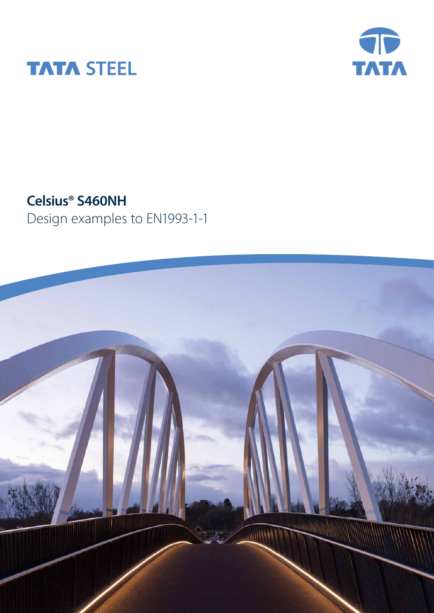



**Celsius® S460NH**

Design examples to EN1993-1-1

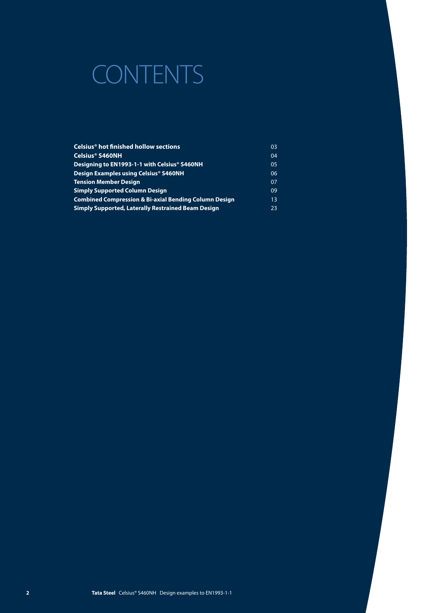# CONTENTS

| Celsius <sup>®</sup> hot finished hollow sections                | 03 |
|------------------------------------------------------------------|----|
| Celsius® S460NH                                                  | 04 |
| Designing to EN1993-1-1 with Celsius® S460NH                     | 05 |
| Design Examples using Celsius® S460NH                            | 06 |
| <b>Tension Member Design</b>                                     | 07 |
| <b>Simply Supported Column Design</b>                            | 09 |
| <b>Combined Compression &amp; Bi-axial Bending Column Design</b> | 13 |
| <b>Simply Supported, Laterally Restrained Beam Design</b>        | 23 |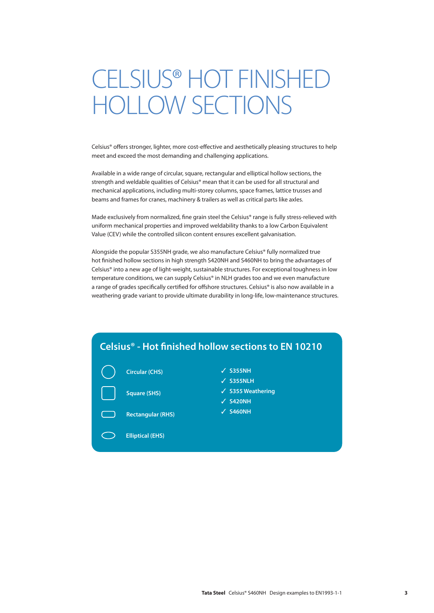# CELSIUS® HOT FINISHED HOLLOW SECTIONS

Celsius® offers stronger, lighter, more cost-effective and aesthetically pleasing structures to help meet and exceed the most demanding and challenging applications.

Available in a wide range of circular, square, rectangular and elliptical hollow sections, the strength and weldable qualities of Celsius® mean that it can be used for all structural and mechanical applications, including multi-storey columns, space frames, lattice trusses and beams and frames for cranes, machinery & trailers as well as critical parts like axles.

Made exclusively from normalized, fine grain steel the Celsius® range is fully stress-relieved with uniform mechanical properties and improved weldability thanks to a low Carbon Equivalent Value (CEV) while the controlled silicon content ensures excellent galvanisation.

Alongside the popular S355NH grade, we also manufacture Celsius® fully normalized true hot finished hollow sections in high strength S420NH and S460NH to bring the advantages of Celsius® into a new age of light-weight, sustainable structures. For exceptional toughness in low temperature conditions, we can supply Celsius® in NLH grades too and we even manufacture a range of grades specifically certified for offshore structures. Celsius® is also now available in a weathering grade variant to provide ultimate durability in long-life, low-maintenance structures.

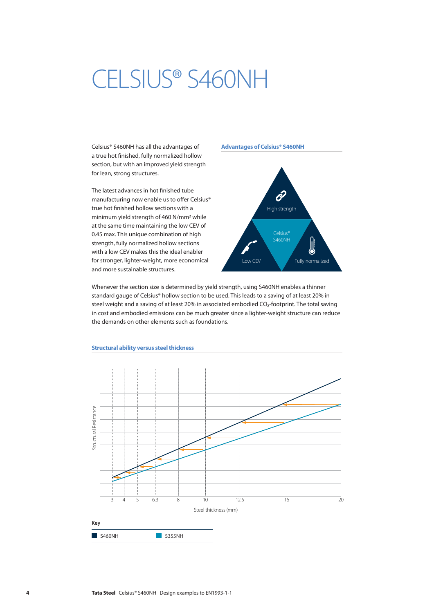# CELSIUS® S460NH

Celsius® S460NH has all the advantages of a true hot finished, fully normalized hollow section, but with an improved yield strength for lean, strong structures.

The latest advances in hot finished tube manufacturing now enable us to offer Celsius® true hot finished hollow sections with a minimum yield strength of 460 N/mm2 while at the same time maintaining the low CEV of 0.45 max. This unique combination of high strength, fully normalized hollow sections with a low CEV makes this the ideal enabler for stronger, lighter-weight, more economical and more sustainable structures.

### **Advantages of Celsius® S460NH**



Whenever the section size is determined by yield strength, using S460NH enables a thinner standard gauge of Celsius® hollow section to be used. This leads to a saving of at least 20% in steel weight and a saving of at least 20% in associated embodied CO<sub>2</sub>-footprint. The total saving in cost and embodied emissions can be much greater since a lighter-weight structure can reduce the demands on other elements such as foundations.



#### **Structural ability versus steel thickness**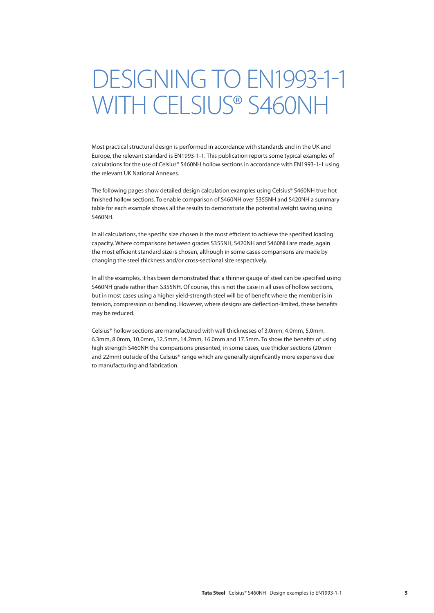# DESIGNING TO EN1993-1-1 WITH CELSIUS® S460NH

Most practical structural design is performed in accordance with standards and in the UK and Europe, the relevant standard is EN1993-1-1. This publication reports some typical examples of calculations for the use of Celsius® S460NH hollow sections in accordance with EN1993-1-1 using the relevant UK National Annexes.

The following pages show detailed design calculation examples using Celsius® S460NH true hot finished hollow sections. To enable comparison of S460NH over S355NH and S420NH a summary table for each example shows all the results to demonstrate the potential weight saving using S460NH.

In all calculations, the specific size chosen is the most efficient to achieve the specified loading capacity. Where comparisons between grades S355NH, S420NH and S460NH are made, again the most efficient standard size is chosen, although in some cases comparisons are made by changing the steel thickness and/or cross-sectional size respectively.

In all the examples, it has been demonstrated that a thinner gauge of steel can be specified using S460NH grade rather than S355NH. Of course, this is not the case in all uses of hollow sections, but in most cases using a higher yield-strength steel will be of benefit where the member is in tension, compression or bending. However, where designs are deflection-limited, these benefits may be reduced.

Celsius® hollow sections are manufactured with wall thicknesses of 3.0mm, 4.0mm, 5.0mm, 6.3mm, 8.0mm, 10.0mm, 12.5mm, 14.2mm, 16.0mm and 17.5mm. To show the benefits of using high strength S460NH the comparisons presented, in some cases, use thicker sections (20mm and 22mm) outside of the Celsius® range which are generally significantly more expensive due to manufacturing and fabrication.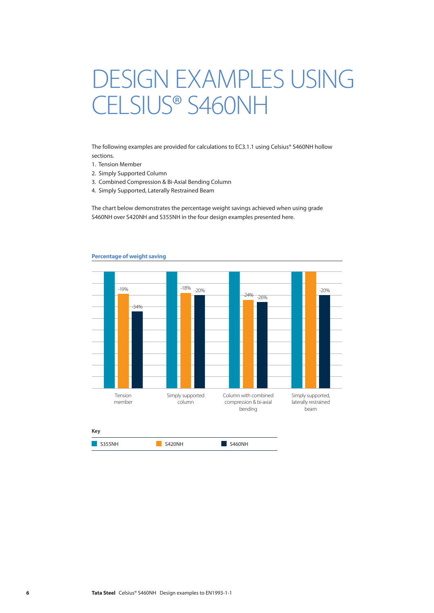# DESIGN EXAMPLES USING CELSIUS® S460NH

The following examples are provided for calculations to EC3.1.1 using Celsius® S460NH hollow sections.

- 1. Tension Member
- 2. Simply Supported Column
- 3. Combined Compression & Bi-Axial Bending Column
- 4. Simply Supported, Laterally Restrained Beam

The chart below demonstrates the percentage weight savings achieved when using grade S460NH over S420NH and S355NH in the four design examples presented here.



#### **Percentage of weight saving**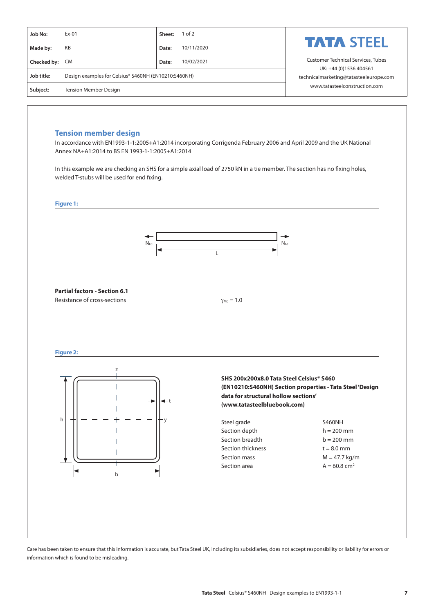| Job No:        | $Ex-01$                                              | Sheet: | $1$ of $2$ |                                                                  |  |  |
|----------------|------------------------------------------------------|--------|------------|------------------------------------------------------------------|--|--|
| Made by:       | KB                                                   | Date:  | 10/11/2020 | <b>TATA STEEL</b>                                                |  |  |
| Checked by: CM |                                                      | Date:  | 10/02/2021 | <b>Customer Technical Services, Tubes</b>                        |  |  |
| Job title:     | Design examples for Celsius® S460NH (EN10210:S460NH) |        |            | UK: +44 (0)1536 404561<br>technicalmarketing@tatasteeleurope.com |  |  |
| Subject:       | <b>Tension Member Design</b>                         |        |            | www.tatasteelconstruction.com                                    |  |  |

# **Tension member design**

In accordance with EN1993-1-1:2005+A1:2014 incorporating Corrigenda February 2006 and April 2009 and the UK National Annex NA+A1:2014 to BS EN 1993-1-1:2005+A1:2014

In this example we are checking an SHS for a simple axial load of 2750 kN in a tie member. The section has no fixing holes, welded T-stubs will be used for end fixing.



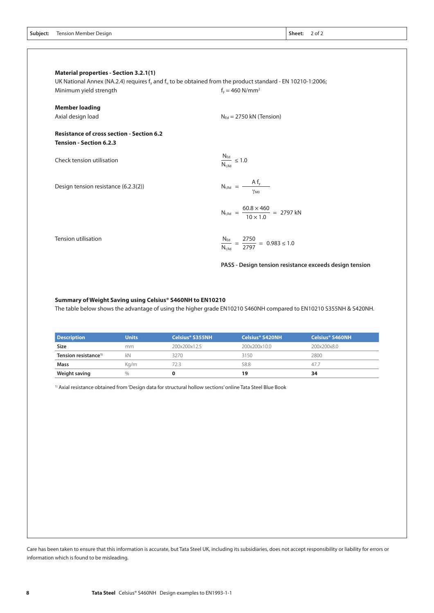|  | Subject: Tension Member Design | Sheet:<br>. | $2$ of $2$ |
|--|--------------------------------|-------------|------------|
|--|--------------------------------|-------------|------------|

| <b>Material properties - Section 3.2.1(1)</b>                                      | UK National Annex (NA.2.4) requires $f_v$ and $f_u$ to be obtained from the product standard - EN 10210-1:2006; |
|------------------------------------------------------------------------------------|-----------------------------------------------------------------------------------------------------------------|
| Minimum yield strength                                                             | $f_v = 460$ N/mm <sup>2</sup>                                                                                   |
| <b>Member loading</b>                                                              |                                                                                                                 |
| Axial design load                                                                  | $N_{\text{Ed}}$ = 2750 kN (Tension)                                                                             |
| <b>Resistance of cross section - Section 6.2</b><br><b>Tension - Section 6.2.3</b> |                                                                                                                 |
| Check tension utilisation                                                          | $\frac{N_{\text{Ed}}}{N_{\text{t,Rd}}} \leq 1.0$                                                                |
| Design tension resistance (6.2.3(2))                                               | $N_{t,Rd} = \frac{A f_y}{\gamma_{M0}}$                                                                          |
|                                                                                    | $N_{t, Rd}$ = $\frac{60.8 \times 460}{10 \times 1.0}$ = 2797 kN                                                 |
| <b>Tension utilisation</b>                                                         | $\frac{N_{\text{Ed}}}{N_{\text{t,Rd}}} = \frac{2750}{2797} = 0.983 \leq 1.0$                                    |
|                                                                                    | PASS - Design tension resistance exceeds design tension                                                         |

#### **Summary of Weight Saving using Celsius® S460NH to EN10210**

The table below shows the advantage of using the higher grade EN10210 S460NH compared to EN10210 S355NH & S420NH.

| <b>Description</b>               | <b>Units</b> | Celsius® S355NH | Celsius® S420NH | Celsius® S460NH |
|----------------------------------|--------------|-----------------|-----------------|-----------------|
| <b>Size</b>                      | mm.          | 200x200x12.5    | 200x200x10.0    | 200x200x8.0     |
| Tension resistance <sup>1)</sup> | kΝ           | 3270            | 3150            | 2800            |
| Mass                             | Ka/m         | /2.3            | 58.8            | 47.7            |
| Weight saving                    | %            |                 | 19              | 34              |

1) Axial resistance obtained from 'Design data for structural hollow sections' online Tata Steel Blue Book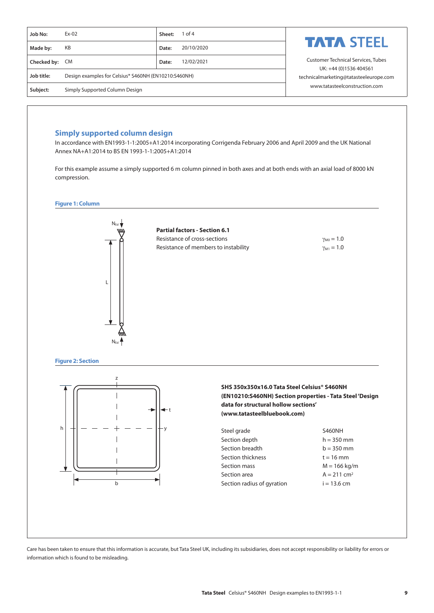| Job No:        | $Ex-02$                                              | Sheet: | $1$ of 4   |                                                                  |  |  |
|----------------|------------------------------------------------------|--------|------------|------------------------------------------------------------------|--|--|
| Made by:       | KB                                                   | Date:  | 20/10/2020 | <b>TATA STEEL</b>                                                |  |  |
| Checked by: CM |                                                      | Date:  | 12/02/2021 | <b>Customer Technical Services, Tubes</b>                        |  |  |
| Job title:     | Design examples for Celsius® S460NH (EN10210:S460NH) |        |            | UK: +44 (0)1536 404561<br>technicalmarketing@tatasteeleurope.com |  |  |
| Subject:       | Simply Supported Column Design                       |        |            | www.tatasteelconstruction.com                                    |  |  |

# **Simply supported column design**

In accordance with EN1993-1-1:2005+A1:2014 incorporating Corrigenda February 2006 and April 2009 and the UK National Annex NA+A1:2014 to BS EN 1993-1-1:2005+A1:2014

For this example assume a simply supported 6 m column pinned in both axes and at both ends with an axial load of 8000 kN compression.





**Figure 2: Section**



**SHS 350x350x16.0 Tata Steel Celsius® S460NH (EN10210:S460NH) Section properties - Tata Steel 'Design data for structural hollow sections' [\(www.tatasteelbluebook.com\)](http://www.tatasteelbluebook.com)**

| Steel grade                | <b>S460NH</b>             |
|----------------------------|---------------------------|
| Section depth              | $h = 350$ mm              |
| Section breadth            | $b = 350$ mm              |
| Section thickness          | $t = 16$ mm               |
| Section mass               | $M = 166$ kg/m            |
| Section area               | $A = 211$ cm <sup>2</sup> |
| Section radius of gyration | $i = 13.6$ cm             |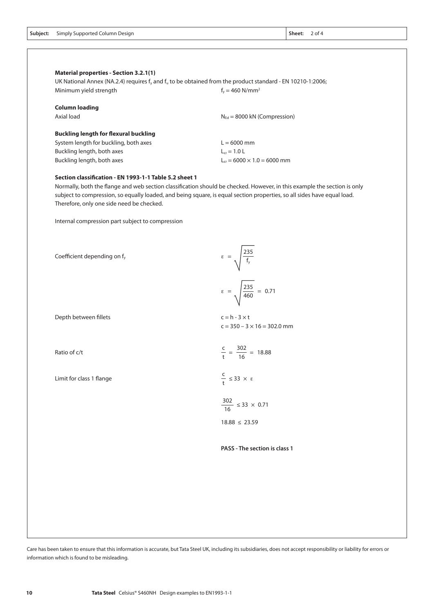|  | <b>Subject:</b> Simply Supported Column Design |  | Sheet: |
|--|------------------------------------------------|--|--------|
|--|------------------------------------------------|--|--------|

Sheet: 2 of 4

| Minimum yield strength                       | UK National Annex (NA.2.4) requires $f_v$ and $f_u$ to be obtained from the product standard - EN 10210-1:2006;<br>$f_v = 460$ N/mm <sup>2</sup> |
|----------------------------------------------|--------------------------------------------------------------------------------------------------------------------------------------------------|
| <b>Column loading</b>                        |                                                                                                                                                  |
| Axial load                                   | $N_{\text{Ed}}$ = 8000 kN (Compression)                                                                                                          |
| <b>Buckling length for flexural buckling</b> |                                                                                                                                                  |
| System length for buckling, both axes        | $L = 6000$ mm                                                                                                                                    |
| Buckling length, both axes                   | $L_{cr} = 1.0 L$                                                                                                                                 |
| Buckling length, both axes                   | $L_{cr} = 6000 \times 1.0 = 6000$ mm                                                                                                             |

Normally, both the flange and web section classification should be checked. However, in this example the section is only subject to compression, so equally loaded, and being square, is equal section properties, so all sides have equal load. Therefore, only one side need be checked.

Internal compression part subject to compression

| Coefficient depending on f <sub>y</sub> | $\epsilon = \sqrt{\frac{235}{f_y}}$                        |
|-----------------------------------------|------------------------------------------------------------|
|                                         | $\epsilon = \sqrt{\frac{235}{460}} = 0.71$                 |
| Depth between fillets                   | $c = h - 3 \times t$<br>$c = 350 - 3 \times 16 = 302.0$ mm |
| Ratio of c/t                            | $\frac{c}{t} = \frac{302}{16} = 18.88$                     |
| Limit for class 1 flange                | $\frac{C}{t} \leq 33 \times \varepsilon$                   |
|                                         | $\frac{302}{16} \leq 33 \times 0.71$                       |
|                                         | $18.88 \leq 23.59$                                         |
|                                         | PASS - The section is class 1                              |
|                                         |                                                            |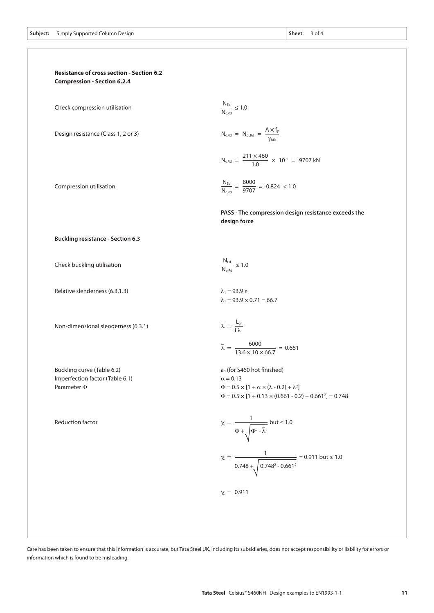

Check compression utilisation

Design resistance (Class 1, 2 or 3)

Compression utilisation

**Buckling resistance - Section 6.3**

Check buckling utilisation

Relative slenderness (6.3.1.3)  $\lambda_1 = 93.9 \text{ }\epsilon$ 

Non-dimensional slenderness (6.3.1)

Buckling curve (Table 6.2)  $a_0$  (for S460 hot finished) Imperfection factor (Table 6.1)  $\alpha = 0.13$ 

Reduction factor

$$
\chi = \frac{1}{\Phi + \sqrt{\Phi^2 - \bar{\lambda}^2}} \text{ but } \le 1.0
$$

$$
\chi = \frac{1}{0.748 + \sqrt{0.748^2 - 0.661^2}} = 0.911 \text{ but } \le 1.0
$$

information which is found to be misleading.

 $N_{c,Rd}$  =  $N_{pl,Rd}$  =  $\frac{N_{th}}{\gamma_{MC}}$ 

 $N_{Ed}$  $\frac{N_{c,\text{Rd}}}{N_{c,\text{Rd}}} \leq 1.0$ 

 $211 \times 460$  $N_{c,Rd} = \frac{2444 \times 10^{-1}}{1.0} \times 10^{-1} = 9707$  kN

 $A \times f_y$ 

 $N_{\text{Ed}}$  $N_{c,Rd}$ 8000  $=\frac{3888}{9707} = 0.824 < 1.0$ 

**PASS - The compression design resistance exceeds the design force**

 $N_{\text{Ed}}$  $\frac{N_{\text{Lg}}}{N_{\text{b,Rd}}} \leq 1.0$ 

 $\lambda_1 = 93.9 \times 0.71 = 66.7$ 

$$
\bar{\lambda} = \frac{L_{cr}}{i \lambda_1}
$$
\n
$$
\bar{\lambda} = \frac{6000}{13.6 \times 10 \times 66.7} = 0.661
$$

Parameter  $\Phi$   $\Phi = 0.5 \times [1 + \alpha \times (\lambda - 0.2) + \lambda^2]$  $\Phi = 0.5 \times [1 + 0.13 \times (0.661 - 0.2) + 0.661^2] = 0.748$ 

Care has been taken to ensure that this information is accurate, but Tata Steel UK, including its subsidiaries, does not accept responsibility or liability for errors or

χ = 0.911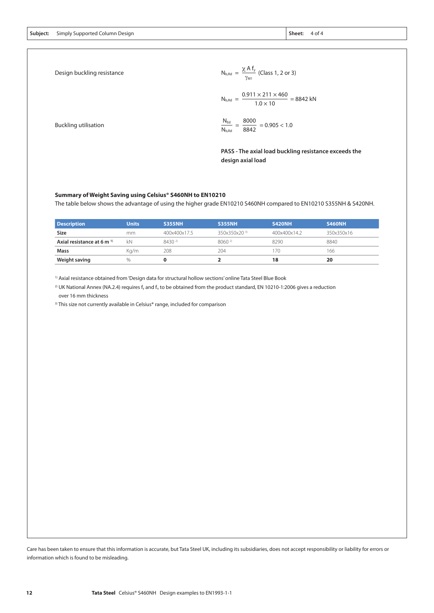**Subject: Sheet:** Simply Supported Column Design 4 of 4

Design buckling resistance

$$
N_{b, Rd} = \frac{\chi A f_y}{\gamma_{M1}} \text{ (Class 1, 2 or 3)}
$$
\n
$$
N_{b, Rd} = \frac{0.911 \times 211 \times 460}{1.0 \times 10} = 8842 \text{ kN}
$$
\n
$$
N_{Ed} = 8000 \text{ m}^2 \cdot 1.2 \text{ m}
$$

8842

 $\frac{N_{\text{tot}}}{N_{\text{b,Rd}}} = \frac{2442}{8842} = 0.905 < 1.0$ 

Buckling utilisation

**PASS - The axial load buckling resistance exceeds the design axial load**

#### **Summary of Weight Saving using Celsius® S460NH to EN10210**

The table below shows the advantage of using the higher grade EN10210 S460NH compared to EN10210 S355NH & S420NH.

| <b>Description</b>                    | <b>Units</b> | <b>S355NH</b> | <b>S355NH</b>            | <b>S420NH</b> | <b>S460NH</b> |
|---------------------------------------|--------------|---------------|--------------------------|---------------|---------------|
| Size                                  | mm           | 400x400x17.5  | 350x350x20 <sup>3)</sup> | 400x400x14.2  | 350x350x16    |
| Axial resistance at 6 m <sup>1)</sup> | kN           | $8430^{21}$   | $8060^{21}$              | 8290          | 8840          |
| Mass                                  | Ka/m         | 208           | 204                      | 70            | 166           |
| Weight saving                         | $\%$         |               |                          | 18            | 20            |

1) Axial resistance obtained from 'Design data for structural hollow sections' online Tata Steel Blue Book

<sup>2)</sup> UK National Annex (NA.2.4) requires f<sub>y</sub> and f<sub>u</sub> to be obtained from the product standard, EN 10210-1:2006 gives a reduction over 16 mm thickness

<sup>3)</sup> This size not currently available in Celsius® range, included for comparison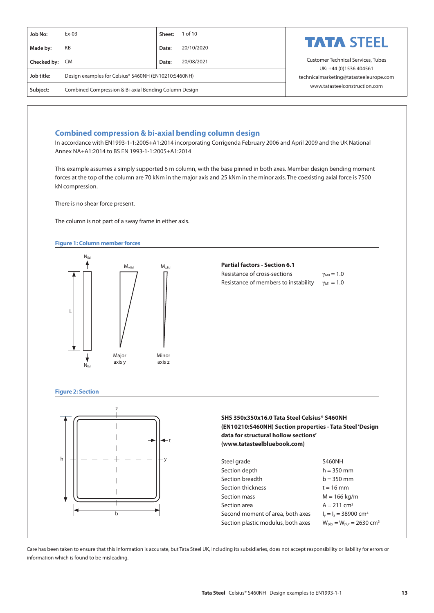| Job No:        | $Ex-03$                                               | 1 of 10<br>Sheet:   |                                                                  |  |  |
|----------------|-------------------------------------------------------|---------------------|------------------------------------------------------------------|--|--|
| Made by:       | KB                                                    | 20/10/2020<br>Date: | <b>TATA STEEL</b>                                                |  |  |
| Checked by: CM |                                                       | 20/08/2021<br>Date: | <b>Customer Technical Services, Tubes</b>                        |  |  |
| Job title:     | Design examples for Celsius® S460NH (EN10210:S460NH)  |                     | UK: +44 (0)1536 404561<br>technicalmarketing@tatasteeleurope.com |  |  |
| Subject:       | Combined Compression & Bi-axial Bending Column Design |                     | www.tatasteelconstruction.com                                    |  |  |

## **Combined compression & bi-axial bending column design**

In accordance with EN1993-1-1:2005+A1:2014 incorporating Corrigenda February 2006 and April 2009 and the UK National Annex NA+A1:2014 to BS EN 1993-1-1:2005+A1:2014

This example assumes a simply supported 6 m column, with the base pinned in both axes. Member design bending moment forces at the top of the column are 70 kNm in the major axis and 25 kNm in the minor axis. The coexisting axial force is 7500 kN compression.

There is no shear force present.

The column is not part of a sway frame in either axis.

#### **Figure 1: Column member forces**



### **Partial factors - Section 6.1**

| Resistance of cross-sections         | $\gamma_{M0} = 1.0$ |
|--------------------------------------|---------------------|
| Resistance of members to instability | $\gamma_{M1} = 1.0$ |

#### **Figure 2: Section**



# **SHS 350x350x16.0 Tata Steel Celsius® S460NH (EN10210:S460NH) Section properties - Tata Steel 'Design data for structural hollow sections' [\(www.tatasteelbluebook.com\)](http://www.tatasteelbluebook.com)**

| Steel grade                        | <b>S460NH</b>                                           |
|------------------------------------|---------------------------------------------------------|
| Section depth                      | $h = 350$ mm                                            |
| Section breadth                    | $b = 350$ mm                                            |
| Section thickness                  | $t = 16$ mm                                             |
| Section mass                       | $M = 166$ kg/m                                          |
| Section area                       | $A = 211$ cm <sup>2</sup>                               |
| Second moment of area, both axes   | $I_v = I_z = 38900$ cm <sup>4</sup>                     |
| Section plastic modulus, both axes | $W_{\text{pl,v}} = W_{\text{pl,z}} = 2630 \text{ cm}^3$ |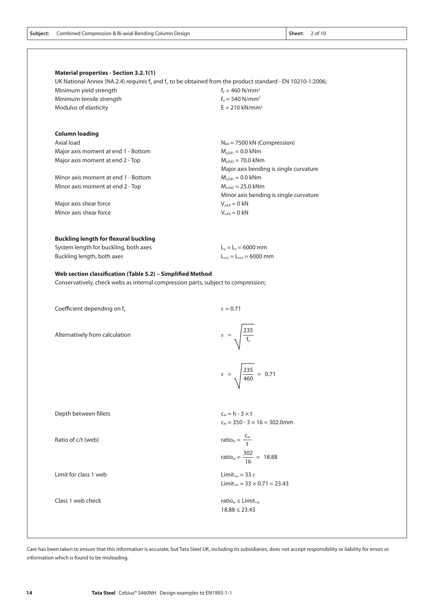|  | <b>Subject:</b> Combined Compression & Bi-axial Bending Column Design | Sheet: 2 of 10 |  |
|--|-----------------------------------------------------------------------|----------------|--|
|--|-----------------------------------------------------------------------|----------------|--|

# **Material properties - Section 3.2.1(1)**

UK National Annex (NA.2.4) requires  $f_y$  and  $f_u$  to be obtained from the product standard - EN 10210-1:2006; Minimum yield strength  $f_y = 460 \text{ N/mm}^2$ Minimum tensile strength  $f_u = 540$  N/mm<sup>2</sup> Modulus of elasticity  $E = 210 \text{ kN/mm}^2$ 

| <b>Column loading</b>               |                                         |
|-------------------------------------|-----------------------------------------|
| Axial load                          | $N_{\text{Ed}}$ = 7500 kN (Compression) |
| Major axis moment at end 1 - Bottom | $M_{v, Ed1} = 0.0$ kNm                  |
| Major axis moment at end 2 - Top    | $M_{v, Ed2} = 70.0$ kNm                 |
|                                     | Major axis bending is single curvature  |
| Minor axis moment at end 1 - Bottom | $M_{z, Ed1} = 0.0$ kNm                  |
| Minor axis moment at end 2 - Top    | $M_{z, Ed2} = 25.0$ kNm                 |
|                                     | Minor axis bending is single curvature  |
| Major axis shear force              | $V_{\text{v.Ed}} = 0 \text{ kN}$        |
| Minor axis shear force              | $V_{z, Ed} = 0$ kN                      |
|                                     |                                         |

#### **Buckling length for flexural buckling**

| System length for buckling, both axes | $L_v = L_z = 6000$ mm                         |
|---------------------------------------|-----------------------------------------------|
| Buckling length, both axes            | $L_{\text{cr,v}} = L_{\text{cr,z}} = 6000$ mm |

#### **Web section classification (Table 5.2) – Simplified Method**

Conservatively, check webs as internal compression parts, subject to compression;

Coefficient depending on  $f_v$   $\epsilon = 0.71$ 

Alternatively from calculation

$$
\epsilon = \sqrt{\frac{235}{f_y}}
$$

$$
\varepsilon = \sqrt{\frac{235}{460}} = 0.71
$$

| Depth between fillets | $c_w = h - 3 \times t$<br>$c_w = 350 - 3 \times 16 = 302.0$ mm                        |
|-----------------------|---------------------------------------------------------------------------------------|
| Ratio of c/t (web)    | ratio <sub>w</sub> = $\frac{C_w}{t}$<br>ratio <sub>w</sub> = $\frac{302}{16}$ = 18.88 |
| Limit for class 1 web | Limit <sub>1w</sub> = 33 $\epsilon$<br>Limit <sub>1w</sub> = $33 \times 0.71 = 23.43$ |
| Class 1 web check     | ratio <sub>w</sub> $\leq$ Limit <sub>1w</sub><br>$18.88 \le 23.43$                    |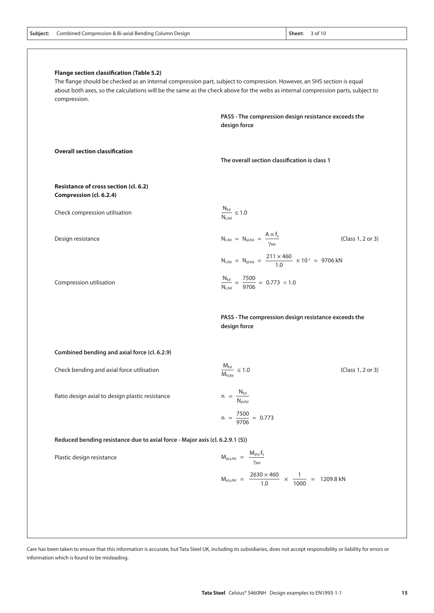| compression.                                                                 | about both axes, so the calculations will be the same as the check above for the webs as internal compression parts, subject to |  |
|------------------------------------------------------------------------------|---------------------------------------------------------------------------------------------------------------------------------|--|
|                                                                              | PASS - The compression design resistance exceeds the<br>design force                                                            |  |
| <b>Overall section classification</b>                                        | The overall section classification is class 1                                                                                   |  |
| Resistance of cross section (cl. 6.2)<br>Compression (cl. 6.2.4)             |                                                                                                                                 |  |
| Check compression utilisation                                                | $\frac{N_{\text{Ed}}}{N_{\text{c,Rd}}} \leq 1.0$                                                                                |  |
| Design resistance                                                            | $N_{c,Rd}$ = $N_{pl,Rd}$ = $\frac{A \times f_y}{\gamma_{M0}}$<br>(Class 1, 2 or 3)                                              |  |
|                                                                              | $N_{c,Rd}$ = $N_{pl,Rd}$ = $\frac{211 \times 460}{1.0}$ × 10 <sup>-1</sup> = 9706 kN                                            |  |
| Compression utilisation                                                      | $\frac{N_{\text{Ed}}}{N_{\text{c,Rd}}} = \frac{7500}{9706} = 0.773$ < 1.0                                                       |  |
|                                                                              | PASS - The compression design resistance exceeds the<br>design force                                                            |  |
| Combined bending and axial force (cl. 6.2.9)                                 |                                                                                                                                 |  |
| Check bending and axial force utilisation                                    | $\frac{M_{\text{Ed}}}{M_{\text{N,Rd}}} \leq 1.0$<br>(Class 1, 2 or 3)                                                           |  |
| Ratio design axial to design plastic resistance                              | $n = \frac{N_{\text{Ed}}}{N_{\text{pl,Rd}}}$                                                                                    |  |
|                                                                              | $n = \frac{7500}{9706} = 0.773$                                                                                                 |  |
| Reduced bending resistance due to axial force - Major axis (cl. 6.2.9.1 (5)) |                                                                                                                                 |  |
| Plastic design resistance                                                    | $M_{\text{pl,y,Rd}} = \frac{M_{\text{pl,y}}f_y}{\gamma_{\text{MO}}}$                                                            |  |
|                                                                              | $M_{\text{pl},y, Rd}$ = $\frac{2630 \times 460}{1.0}$ × $\frac{1}{1000}$ = 1209.8 kN                                            |  |

**Subject:** Combined Compression & Bi-axial Bending Column Design 3 of 10 and 3 of 10 and 5 of 10 and 5 of 10 and 5 of 10 and 5 of 10 and 5 of 10 and 5 of 10 and 5 of 10 and 5 of 10 and 5 of 10 and 5 of 10 and 5 of 10 and 5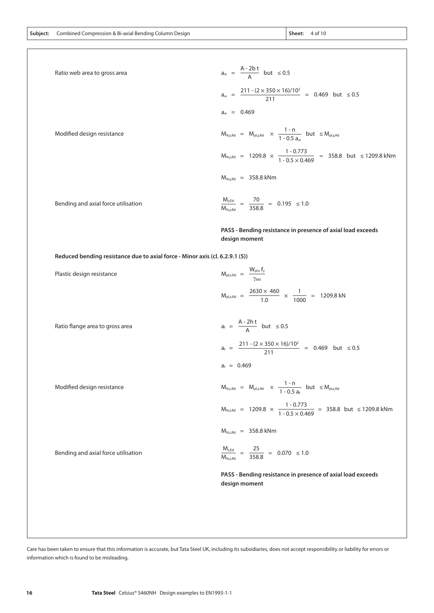| Ratio web area to gross area                                                 | $a_w = \frac{A - 2b t}{A}$ but $\le 0.5$                                                                                                                                                    |
|------------------------------------------------------------------------------|---------------------------------------------------------------------------------------------------------------------------------------------------------------------------------------------|
|                                                                              | $a_w = \frac{211 \cdot (2 \times 350 \times 16)/10^2}{211} = 0.469$ but $\le 0.5$                                                                                                           |
|                                                                              | $a_w = 0.469$                                                                                                                                                                               |
| Modified design resistance                                                   | $\label{eq:10} M_{N,y,{\rm Rd}} \  \, = \  \, M_{\rm pl,y,{\rm Rd}} \  \, \times \  \, \frac{1 \cdot n}{1 \cdot 0.5 \; {\rm a}_{\cdots}} \  \, \text{but} \  \, \leq M_{\rm pl,y,{\rm Rd}}$ |
|                                                                              | $M_{\text{Ny, Rd}}$ = 1209.8 $\times$ $\frac{1-0.773}{1-0.5 \times 0.469}$ = 358.8 but ≤ 1209.8 kNm                                                                                         |
|                                                                              | $M_{N_vRd}$ = 358.8 kNm                                                                                                                                                                     |
| Bending and axial force utilisation                                          | $\frac{M_{y,Ed}}{M_{N,y,Rd}} \ = \ \frac{70}{358.8} \ = \ 0.195 \ \leq 1.0$                                                                                                                 |
|                                                                              | PASS - Bending resistance in presence of axial load exceeds<br>design moment                                                                                                                |
| Reduced bending resistance due to axial force - Minor axis (cl. 6.2.9.1 (5)) |                                                                                                                                                                                             |
| Plastic design resistance                                                    | $M_{\text{pl,z,Rd}} = \frac{W_{\text{pl,z}} t_y}{\sqrt{2\pi}}$                                                                                                                              |

| Ratio flange area to gross area |  |
|---------------------------------|--|

|    | $a_f = \frac{A-2ht}{A}$ but $\leq 0.5$       |                         |  |
|----|----------------------------------------------|-------------------------|--|
| a۴ | $211 - (2 \times 350 \times 16)/10^2$<br>211 | $= 0.469$ but $\le 0.5$ |  |

 $M_{\text{pl,z,Rd}} = \frac{200 \times 1000}{1.0} \times \frac{1}{1000} = 1209.8 \text{ kN}$ 

1

$$
a_f = 0.469
$$

Modified design resistance

Bending and axial force utilisation

 $\frac{1 - 0.773}{25 - 0.159}$  = 358.8 but ≤ 1209.8 kNm  $\frac{1-n}{25}$  but  $M_{N,z,Rd} = M_{p1,z,Rd} \times \frac{1}{1-0.5 a_f}$  but  $\leq M_{p1,z,Rd}$  $M_{N,z,Rd}$  = 1209.8  $\times \frac{1.0075}{1.05 \times 0.469}$  = 358.8

$$
M_{N,z,Rd} = 358.8 \text{ kNm}
$$

25  $\frac{M_{z,Ed}}{M_{N,z,Rd}} = \frac{25}{358.8} = 0.070 \le 1.0$ MN,z,Rd

 $2630 \times 460$ 1.0

 **PASS - Bending resistance in presence of axial load exceeds design moment**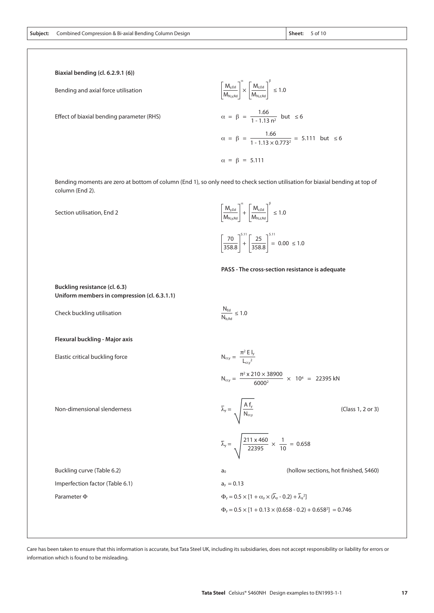**Biaxial bending (cl. 6.2.9.1 (6))**

Bending and axial force utilisation

Effect of biaxial bending parameter (RHS)

 $\alpha = \beta = \frac{1.66}{1.133 \times 3}$  but  $\leq 6$  $\alpha = \beta = \frac{1.66}{1.133 \times 0.7733} = 5.111$  but  $\leq 6$  $α = β = 5.111$  $\left| \frac{M_{y,\text{Ed}}}{M} \right| \times \left| \frac{M_{z,\text{Ed}}}{M} \right| \leq 1.0$  $M_{N,y,Rd}$  $M_{z,Ed}$  $M_{N,z,Rd}$  $1 - 1.13$  n<sup>2</sup>  $1 - 1.13 \times 0.773^2$ α β

Bending moments are zero at bottom of column (End 1), so only need to check section utilisation for biaxial bending at top of column (End 2).

> $N_{\text{Ed}}$  $\frac{N_{\text{b}}}{N_{\text{b,Rd}}} \leq 1.0$

| Section utilisation, End 2 | $\left\lceil \frac{M_{y,\text{Ed}}}{M_{y,\text{Z,Rd}}} \right\rceil^{\alpha} + \left\lceil \frac{M_{z,\text{Ed}}}{M_{y,\text{Z,Rd}}} \right\rceil \leq 1.0$ |
|----------------------------|-------------------------------------------------------------------------------------------------------------------------------------------------------------|
|                            | $\left[\frac{70}{358.8}\right]^{5.11} + \left[\frac{25}{358.8}\right]^{5.11} = 0.00 \le 1.0$                                                                |

#### **PASS - The cross-section resistance is adequate**

**Buckling resistance (cl. 6.3) Uniform members in compression (cl. 6.3.1.1)**

Check buckling utilisation

#### **Flexural buckling - Major axis**

Elastic critical buckling force

Non-dimensional slenderness

$$
N_{\text{cty}} = \frac{\pi^2 E I_y}{L_{\text{cty}}^2}
$$
  
\n
$$
N_{\text{cty}} = \frac{\pi^2 \times 210 \times 38900}{6000^2} \times 10^4 = 22395 \text{ kN}
$$
  
\n
$$
\overline{\lambda}_y = \sqrt{\frac{A f_y}{N_{\text{cty}}}}
$$
\n(Class 1, 2 or 3)  
\n
$$
\overline{\lambda}_y = \sqrt{\frac{211 \times 460}{22395}} \times \frac{1}{10} = 0.658
$$
  
\n(a) (hollow sections, hot finished, S460)

Buckling curve (Table 6.2) Imperfection factor (Table 6.1) Parameter Φ  $a_y = 0.13$  $\Phi_y = 0.5 \times [1 + \alpha_y \times (\lambda_y - 0.2) + \lambda_y^2]$  $\Phi_y = 0.5 \times [1 + 0.13 \times (0.658 - 0.2) + 0.658^2] = 0.746$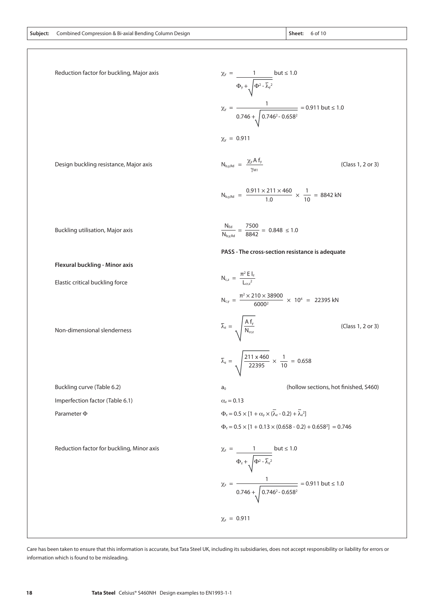| Subiect: | Combined Compression & Bi-axial Bending Column Design | Sheet: |
|----------|-------------------------------------------------------|--------|
|----------|-------------------------------------------------------|--------|

| Reduction factor for buckling, Major axis | $\chi_y = \frac{1}{\Phi_y + \sqrt{\Phi^2 - \overline{\lambda}_y^2}}$ but $\leq 1.0$                 |
|-------------------------------------------|-----------------------------------------------------------------------------------------------------|
|                                           | $\chi_y = \frac{1}{0.746 + \sqrt{0.746^2 - 0.658^2}} = 0.911 \text{ but} \le 1.0$                   |
|                                           | $\chi_{y} = 0.911$                                                                                  |
| Design buckling resistance, Major axis    | $N_{b,y,Rd} = \frac{\chi_y A f_y}{\gamma_{M1}}$<br>(Class 1, 2 or 3)                                |
|                                           | $N_{\text{b,y,Rd}} = \frac{0.911 \times 211 \times 460}{1.0} \times \frac{1}{10} = 8842 \text{ kN}$ |
| Buckling utilisation, Major axis          | $\frac{N_{\text{Ed}}}{N_{\text{b,y,Rd}}} = \frac{7500}{8842} = 0.848 \le 1.0$                       |
|                                           | PASS - The cross-section resistance is adequate                                                     |
| Flexural buckling - Minor axis            |                                                                                                     |
| Elastic critical buckling force           | $N_{c,z} = \frac{\pi^2 E I_z}{I_{z,z}^2}$                                                           |
|                                           | $N_{cy} = \frac{\pi^2 \times 210 \times 38900}{6000^2} \times 10^4 = 22395 \text{ kN}$              |
| Non-dimensional slenderness               | $\overline{\lambda}_z = \sqrt{\frac{A f_y}{N_{cr,z}}}$<br>(Class 1, 2 or 3)                         |
|                                           | $\overline{\lambda}_z = \sqrt{\frac{211 \times 460}{22395}} \times \frac{1}{10} = 0.658$            |
| Buckling curve (Table 6.2)                | (hollow sections, hot finished, S460)<br>a <sub>0</sub>                                             |
| Imperfection factor (Table 6.1)           | $\alpha_z = 0.13$                                                                                   |
| Parameter $\Phi$                          | $\Phi_z = 0.5 \times [1 + \alpha_v \times (\overline{\lambda}_z - 0.2) + \overline{\lambda}_z^2]$   |
|                                           | $\Phi_z = 0.5 \times [1 + 0.13 \times (0.658 - 0.2) + 0.658^2] = 0.746$                             |
| Reduction factor for buckling, Minor axis | $\chi_z = \frac{1}{\Phi_z + \sqrt{\Phi^2 - \overline{\lambda}_z^2}}$ but $\leq 1.0$                 |
|                                           | $\chi_z = \frac{1}{0.746 + \sqrt{0.746^2 - 0.658^2}} = 0.911 \text{ but} \le 1.0$                   |
|                                           | $\chi$ <sub>z</sub> = 0.911                                                                         |

information which is found to be misleading.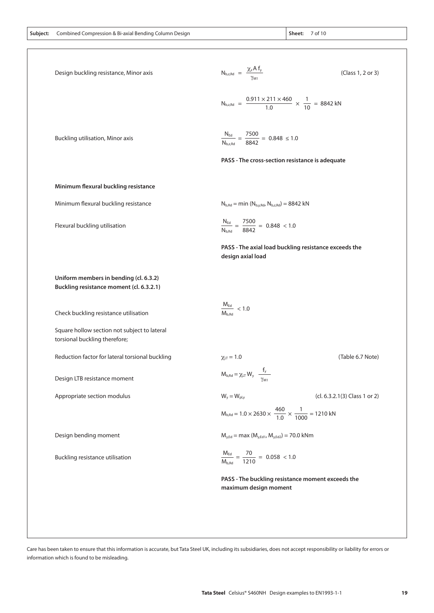|  | <b>Subject:</b> Combined Compression & Bi-axial Bending Column Design | Sheet: |
|--|-----------------------------------------------------------------------|--------|
|--|-----------------------------------------------------------------------|--------|

n Bi-axial Bending Company Sheet: 7 of 10

| Design buckling resistance, Minor axis                                        | $N_{b,z, Rd} = \frac{\chi_z A f_y}{\gamma_{M1}}$                                                    | (Class 1, 2 or 3)                                     |
|-------------------------------------------------------------------------------|-----------------------------------------------------------------------------------------------------|-------------------------------------------------------|
|                                                                               | $N_{\text{b,z,Rd}} = \frac{0.911 \times 211 \times 460}{1.0} \times \frac{1}{10} = 8842 \text{ kN}$ |                                                       |
| Buckling utilisation, Minor axis                                              | $\frac{N_{\text{Ed}}}{N_{\text{b},z,\text{Rd}}} = \frac{7500}{8842} = 0.848 \leq 1.0$               |                                                       |
|                                                                               | PASS - The cross-section resistance is adequate                                                     |                                                       |
| Minimum flexural buckling resistance                                          |                                                                                                     |                                                       |
| Minimum flexural buckling resistance                                          | $N_{b, Rd} = min (N_{b, y, Rd}, N_{b, z, Rd}) = 8842 kN$                                            |                                                       |
| Flexural buckling utilisation                                                 | $\frac{N_{\text{Ed}}}{N_{\text{b,Rd}}} = \frac{7500}{8842} = 0.848 < 1.0$                           |                                                       |
|                                                                               | design axial load                                                                                   | PASS - The axial load buckling resistance exceeds the |
| Uniform members in bending (cl. 6.3.2)                                        |                                                                                                     |                                                       |
| Buckling resistance moment (cl. 6.3.2.1)                                      |                                                                                                     |                                                       |
| Check buckling resistance utilisation                                         | $\frac{M_{\text{Ed}}}{M_{\text{b,Rd}}}$ < 1.0                                                       |                                                       |
| Square hollow section not subject to lateral<br>torsional buckling therefore; |                                                                                                     |                                                       |
| Reduction factor for lateral torsional buckling                               | $\chi_{LT} = 1.0$                                                                                   | (Table 6.7 Note)                                      |
| Design LTB resistance moment                                                  | $M_{b, Rd} = \chi_{LT} W_y \frac{f_y}{f}$<br>YM1                                                    |                                                       |
| Appropriate section modulus                                                   | $W_y = W_{\text{pl},y}$                                                                             | (cl. 6.3.2.1(3) Class 1 or 2)                         |
|                                                                               | $M_{\text{b,Rd}} = 1.0 \times 2630 \times \frac{460}{1.0} \times \frac{1}{1000} = 1210 \text{ kN}$  |                                                       |
| Design bending moment                                                         | $M_{y,Ed} = max (M_{y,Ed1}, M_{y,Ed2}) = 70.0$ kNm                                                  |                                                       |
| Buckling resistance utilisation                                               | $\frac{M_{\text{Ed}}}{M_{\text{b,Rd}}} = \frac{70}{1210} = 0.058 < 1.0$                             |                                                       |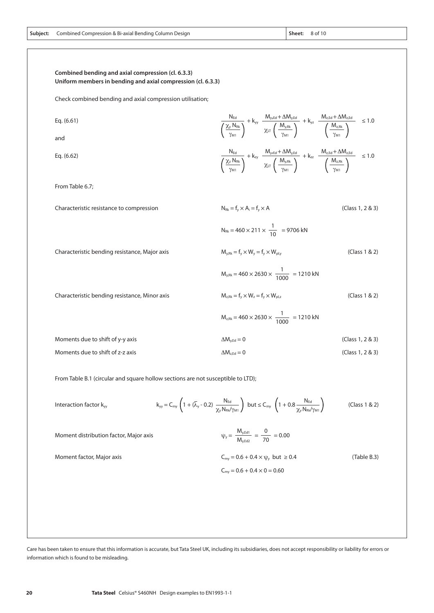**20 Tata Steel** Celsius® S460NH Design examples to EN1993-1-1

Care has been taken to ensure that this information is accurate, but Tata Steel UK, including its subsidiaries, does not accept responsibility or liability for errors or information which is found to be misleading.

| Check combined bending and axial compression utilisation; |
|-----------------------------------------------------------|
|                                                           |
| Eq. $(6.61)$                                              |

**Uniform members in bending and axial compression (cl. 6.3.3)**

**Combined bending and axial compression (cl. 6.3.3)**

and

Eq. (6.62)

From Table 6.7;

Characteristic resistance to compression

Characteristic bending resistance, Major axis

Characteristic bending resistance, Minor axis

|                                  | $M_{z, Rk} = 460 \times 2630 \times \frac{1}{1000} = 1210 \text{ kN}$ |                  |
|----------------------------------|-----------------------------------------------------------------------|------------------|
| Moments due to shift of y-y axis | $\Delta M_{\rm v, Fd} = 0$                                            | (Class 1, 2 & 3) |
| Moments due to shift of z-z axis | $\Delta M_{z, \text{Ed}} = 0$                                         | (Class 1, 2 & 3) |

 $\chi_{\sf y}$  N<sub>rk</sub> γM1

χz NRk γM1

From Table B.1 (circular and square hollow sections are not susceptible to LTD);

 $\overline{1}$ 

Interaction factor 
$$
k_{yy}
$$

\n
$$
k_{yy} = C_{my} \left( 1 + (\overline{\lambda}_{y} - 0.2) \frac{N_{Ed}}{\chi_{y} N_{Rk} / \gamma_{M1}} \right) \text{ but } \leq C_{my} \left( 1 + 0.8 \frac{N_{Ed}}{\chi_{y} N_{Rk} / \gamma_{M1}} \right) \tag{Class 1 & 2}
$$
\nMoment distribution factor, Major axis

\n
$$
\psi_{y} = \frac{M_{y, Ed1}}{M_{y, Ed2}} = \frac{0}{70} = 0.00
$$

NEd

 $C_{\text{my}} = 0.6 + 0.4 \times \psi_{y}$  but  $\ge 0.4$  $C_{\text{my}} = 0.6 + 0.4 \times 0 = 0.60$ 

Moment factor, Major axis

 $N_{\text{Ed}}$   $M_{\text{y,Ed}} + \Delta M_{\text{y,Ed}}$   $M_{\text{z,Ed}} + \Delta M_{\text{z,Ed}}$ 

+ kyy + kyz ≤ 1.0

γM1

γM1

(Table B.3)

 $\chi_{LT}$   $\left(\frac{M_{y, Rk}}{M}\right)$   $\left(\frac{M_{z, Rk}}{M}\right)$ 

 $\chi_{\text{LT}}\left(\frac{M_{\text{y,Rk}}}{\sigma}\right)$   $\left(\frac{M_{\text{z,Rk}}}{\sigma}\right)$ 

 $+ k_{zy}$   $\frac{m_{y,c} + m_{z,c} + m_{z,c} + m_{z,c} + m_{z,c} + m_{z,c} + m_{z,c} + m_{z,c} + m_{z,c} + m_{z,c} + m_{z,c} + m_{z,c} + m_{z,c} + m_{z,c} + m_{z,c} + m_{z,c} + m_{z,c} + m_{z,c} + m_{z,c} + m_{z,c} + m_{z,c} + m_{z,c} + m_{z,c} + m_{z,c} + m_{z,c} + m_{z,c} + m_{z,c} + m_{z,c} + m_{z,c} + m_{z,c} + m_{z,c} + m_{z,c} + m_{z,c} + m_{z,c} + m_{z,c}$ 

 $M_{y, Rk}$ γM1

 $M_{y, Rk}$ γM1

 $N_{\text{Ed}}$   $M_{\text{y,Ed}} + \Delta M_{\text{y,Ed}}$   $M_{\text{z,Ed}} + \Delta M_{\text{z,Ed}}$ 

 $N_{Rk} = f_v \times A_i = f_v \times A$  (Class 1, 2 & 3)

 $M_{v, Rk} = f_v \times W_v = f_v \times W_{v}$  (Class 1 & 2)

 $M_{z, Rk} = f_y \times W_z = f_y \times W_{p1,z}$  (Class 1 & 2)

 $\lambda$ 

1  $N_{\text{Rk}} = 460 \times 211 \times \frac{1}{10} = 9706 \text{ kN}$ 

1  $M_{y, Rk} = 460 \times 2630 \times \frac{1}{1000} = 1210 \text{ kN}$ 

1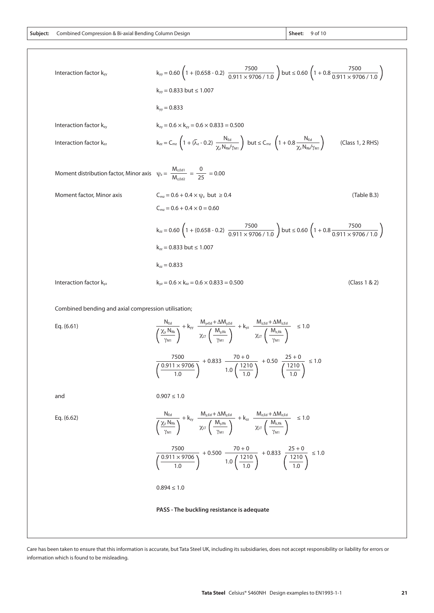**Subject: Sheet:** Combined Compression & Bi-axial Bending Column Design 9 of 10

Interaction factor k<sub>yy</sub> = 0.60 (1 + (0.658 - 0.2) 
$$
\frac{7500}{0.911 \times 9706 / 1.0}
$$
) but ≤ 0.60 (1 + 0.8  $\frac{7500}{0.911 \times 9706 / 1.0}$ )  $k_{yy}$  = 0.833 but ≤ 1.007

\n $k_{yy}$  = 0.833 but ≤ 1.007

\n $k_{yy}$  = 0.833 but ≤ 1.007

\nInteraction factor k<sub>xy</sub>

\n $k_{xy}$  = 0.6 × k<sub>yy</sub> = 0.6 × 0.833 = 0.500

\nInteraction factor k<sub>zz</sub>

\n $k_{zz} = C_{\text{mx}} \left( 1 + (\overline{\lambda}_z - 0.2) \frac{N_{\text{td}}}{\chi_z N_{\text{Rol}} / \gamma_{\text{M1}}}\right)$  but ≤ C<sub>mx</sub> (1 + 0.8  $\frac{N_{\text{td}}}{\chi_z N_{\text{Rol}} / \gamma_{\text{M1}}}$ ) (Class 1, 2 RHS)

\nMoment distribution factor, Minor axis

\n $k_{zz}$  = 0.6 + 0.4 ×  $\psi_z$  but ≥ 0.4

\n $k_{xz}$  = 0.6 + 0.4 × 0 = 0.60

\n $k_{xz}$  = 0.60 (1 + (0.658 - 0.2)  $\frac{7500}{0.911 \times 9706 / 1.0}$ ) but ≤ 0.60 (1 + 0.8  $\frac{7500}{0.911 \times 9706 / 1.0}$ )

\n $k_{zz}$  = 0.833 but ≤ 1.007

\n $k_{xz}$  = 0.833

\nInteraction factor  $k_{yz}$ 

\n $k_{yz}$  = 0.6 ×  $k_{xz}$  = 0.6 × 0.833 = 0

Combined bending and axial compression utilisation;

Eq. (6.61)  
\n
$$
\frac{N_{Ed}}{\left(\frac{\chi_{y} N_{Bk}}{\gamma_{M1}}\right)} + k_{yy} \frac{M_{y,Ed} + \Delta M_{y,Ed}}{\chi_{LT}\left(\frac{M_{y,IR}}{\gamma_{M1}}\right)} + k_{yz} \frac{M_{z,Ed} + \Delta M_{z,Ed}}{\chi_{LT}\left(\frac{M_{z,IR}}{\gamma_{M1}}\right)} \le 1.0
$$
\n
$$
\frac{7500}{\left(\frac{0.911 \times 9706}{1.0}\right)} + 0.833 \frac{70 + 0}{1.0 \left(\frac{1210}{1.0}\right)} + 0.50 \frac{25 + 0}{\left(\frac{1210}{1.0}\right)} \le 1.0
$$
\nand\n
$$
0.907 \le 1.0
$$
\nEq. (6.62)  
\n
$$
\frac{N_{Ed}}{\left(\frac{\chi_{z} N_{Bk}}{\gamma_{M1}}\right)} + k_{zy} \frac{M_{y,Ed} + \Delta M_{y,Ed}}{\chi_{LT}\left(\frac{M_{y,IR}}{\gamma_{M1}}\right)} + k_{zz} \frac{M_{z,Ed} + \Delta M_{z,Ed}}{\chi_{LT}\left(\frac{M_{z,IR}}{\gamma_{M1}}\right)} \le 1.0
$$
\n
$$
\frac{7500}{\left(\frac{0.911 \times 9706}{1.0}\right)} + 0.500 \frac{70 + 0}{1.0 \left(\frac{1210}{1.0}\right)} + 0.833 \frac{25 + 0}{\left(\frac{1210}{1.0}\right)} \le 1.0
$$
\n
$$
0.894 \le 1.0
$$
\nPASS - The buckling resistance is adequate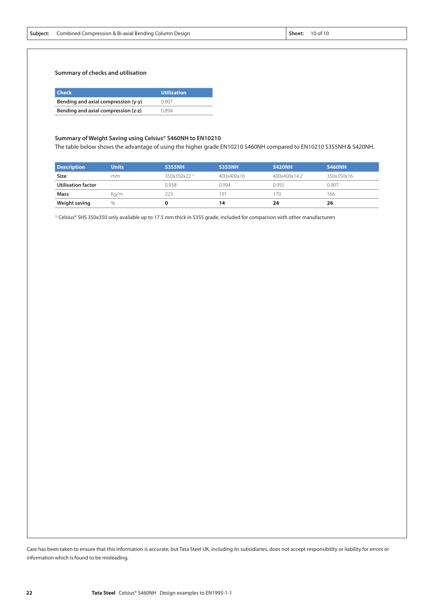**Summary of checks and utilisation**

| <b>Check</b>                        | <b>Utilisation</b> |
|-------------------------------------|--------------------|
| Bending and axial compression (y-y) | 0.907              |
| Bending and axial compression (z-z) | 0.894              |

#### **Summary of Weight Saving using Celsius® S460NH to EN10210**

The table below shows the advantage of using the higher grade EN10210 S460NH compared to EN10210 S355NH & S420NH.

| <b>Description</b> | <b>Units</b> | <b>S355NH</b>            | <b>S355NH</b> | <b>S420NH</b> | <b>S460NH</b> |
|--------------------|--------------|--------------------------|---------------|---------------|---------------|
| Size               | mm.          | 350x350x22 <sup>1)</sup> | 400x400x16    | 400x400x14.2  | 350x350x16    |
| Utilisation factor | $\sim$       | 0.938                    | 0.994         | 0.955         | 0.907         |
| <b>Mass</b>        | Ka/m         | 223                      | 191           | 170           | 166           |
| Weight saving      | $\%$         |                          | 14            | 24            | 26            |

<sup>1)</sup> Celsius® SHS 350x350 only available up to 17.5 mm thick in S355 grade, included for comparison with other manufacturers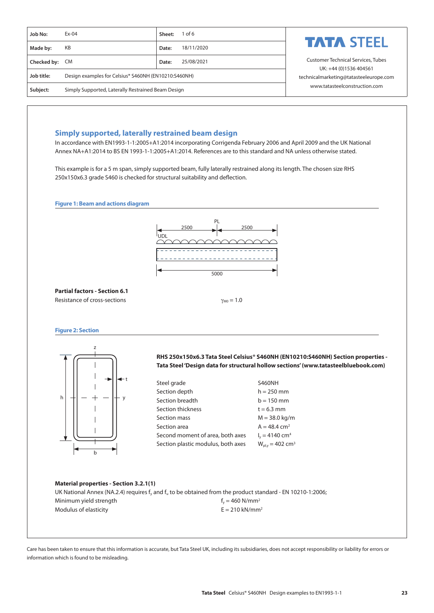| Job No:        | $Ex-04$                                              | $1$ of 6<br>Sheet:  |                                                                     |
|----------------|------------------------------------------------------|---------------------|---------------------------------------------------------------------|
| Made by:       | KB                                                   | 18/11/2020<br>Date: | <b>TATA STEEL</b>                                                   |
| Checked by: CM |                                                      | 25/08/2021<br>Date: | <b>Customer Technical Services, Tubes</b><br>UK: +44 (0)1536 404561 |
| Job title:     | Design examples for Celsius® S460NH (EN10210:S460NH) |                     | technicalmarketing@tatasteeleurope.com                              |
| Subject:       | Simply Supported, Laterally Restrained Beam Design   |                     | www.tatasteelconstruction.com                                       |

### **Simply supported, laterally restrained beam design**

In accordance with EN1993-1-1:2005+A1:2014 incorporating Corrigenda February 2006 and April 2009 and the UK National Annex NA+A1:2014 to BS EN 1993-1-1:2005+A1:2014. References are to this standard and NA unless otherwise stated.

This example is for a 5 m span, simply supported beam, fully laterally restrained along its length. The chosen size RHS 250x150x6.3 grade S460 is checked for structural suitability and deflection.

**Figure 1: Beam and actions diagram**



**Partial factors - Section 6.1** Resistance of cross-sections  $\gamma_{M0} = 1.0$ 

**Figure 2: Section**



**RHS 250x150x6.3 Tata Steel Celsius® S460NH (EN10210:S460NH) Section properties - Tata Steel 'Design data for structural hollow sections' ([www.tatasteelbluebook.com\)](http://www.tatasteelbluebook.com)**

| Steel grade                        | <b>S460NH</b>                        |
|------------------------------------|--------------------------------------|
| Section depth                      | $h = 250$ mm                         |
| Section breadth                    | $b = 150$ mm                         |
| Section thickness                  | $t = 6.3$ mm                         |
| Section mass                       | $M = 38.0$ kg/m                      |
| Section area                       | $A = 48.4$ cm <sup>2</sup>           |
| Second moment of area, both axes   | $I_v = 4140$ cm <sup>4</sup>         |
| Section plastic modulus, both axes | $W_{\text{pl,v}} = 402 \text{ cm}^3$ |
|                                    |                                      |

## **Material properties - Section 3.2.1(1)** UK National Annex (NA.2.4) requires f<sub>y</sub> and f<sub>u</sub> to be obtained from the product standard - EN 10210-1:2006; Minimum yield strength  $f_y = 460 \text{ N/mm}^2$ Modulus of elasticity  $E = 210 \text{ kN/mm}^2$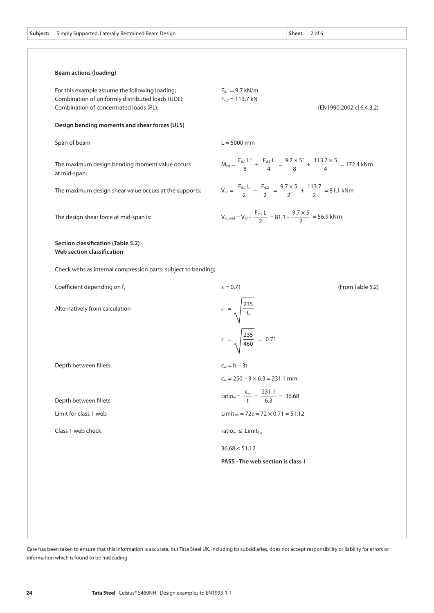| Subject: | Simply Supported, Laterally Restrained Beam Design |                      | Sheet: | $2$ of 6                 |
|----------|----------------------------------------------------|----------------------|--------|--------------------------|
|          | <b>Beam actions (loading)</b>                      |                      |        |                          |
|          | For this example assume the following loading;     | $F_{d,1} = 9.7$ kN/m |        |                          |
|          | Combination of uniformly distributed loads (UDL):  | $F_{d2} = 113.7$ kN  |        |                          |
|          | Combination of concentrated loads (PL):            |                      |        | (EN1990:2002 cl 6.4.3.2) |

 $L = 5000$  mm

 $F_{d,1} L^2$ 8

 $F_{d,1}$  L 2

> $F_{d,1}$  L 2

 $F_{d,2}$  L

 $F_{d,2}$ 

 $9.7 \times 5^2$ 8

 $M_{\text{Ed}} = \frac{M_{\text{Ed}} - M_{\text{d}}}{8} + \frac{M_{\text{d}} - M_{\text{d}}}{4} = \frac{M_{\text{d}} - M_{\text{d}}}{8} + \frac{M_{\text{d}} - M_{\text{d}}}{4} = 172.4 \text{ kNm}$ 

 $113.7 \times 5$ 4

113.7 2

 $9.7 \times 5$ 

 $9.7 \times 5$ 2

 $V_{\text{Ed}} = \frac{V_{\text{G,1}}}{2} + \frac{V_{\text{G,2}}}{2} = \frac{3.6 \times 10^{3} \text{ J}}{2} + \frac{1.1 \times 10^{3} \text{ J}}{2} = 81.1 \text{ kNm}$ 

 $V_{\text{Ed,mid}} = V_{\text{Ed}} - \frac{V_{\text{G,1}}}{2} = 81.1 - \frac{21.115}{2} = 56.9 \text{ kNm}$ 

**Section classification (Table 5.2)**

The design shear force at mid-span is:

**Web section classification**

Span of beam

at mid-span:

Check webs as internal compression parts, subject to bending;

The maximum design bending moment value occurs

The maximum design shear value occurs at the supports:

| Coefficient depending on $f_y$ | $\epsilon = 0.71$                                                | (From Table 5.2) |
|--------------------------------|------------------------------------------------------------------|------------------|
| Alternatively from calculation | $\epsilon = \sqrt{\frac{235}{f_y}}$                              |                  |
|                                | $\epsilon = \sqrt{\frac{235}{460}} = 0.71$                       |                  |
| Depth between fillets          | $c_w = h - 3t$                                                   |                  |
|                                | $c_w = 250 - 3 \times 6.3 = 231.1$ mm                            |                  |
| Depth between fillets          | ratio <sub>w</sub> = $\frac{c_w}{t} = \frac{231.1}{6.3} = 36.68$ |                  |
| Limit for class 1 web          | Limit <sub>1w</sub> = $72\varepsilon$ = $72 \times 0.71 = 51.12$ |                  |
| Class 1 web check              | ratio <sub>w</sub> $\leq$ Limit <sub>1w</sub>                    |                  |
|                                | $36.68 \le 51.12$                                                |                  |
|                                | PASS - The web section is class 1                                |                  |
|                                |                                                                  |                  |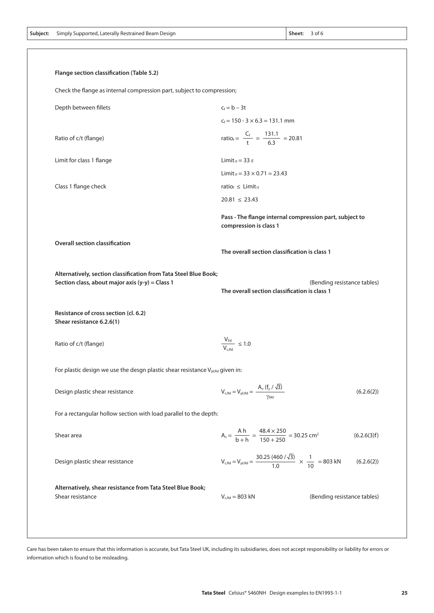| Flange section classification (Table 5.2)                                                                                                                                                                                              |                                                                                                         |
|----------------------------------------------------------------------------------------------------------------------------------------------------------------------------------------------------------------------------------------|---------------------------------------------------------------------------------------------------------|
| Check the flange as internal compression part, subject to compression;                                                                                                                                                                 |                                                                                                         |
| Depth between fillets                                                                                                                                                                                                                  | $c_f = b - 3t$                                                                                          |
|                                                                                                                                                                                                                                        | $c_f$ = 150 - 3 $\times$ 6.3 = 131.1 mm                                                                 |
| Ratio of c/t (flange)                                                                                                                                                                                                                  | ratio <sub>f</sub> = $\frac{C_f}{t} = \frac{131.1}{6.3} = 20.81$                                        |
| Limit for class 1 flange                                                                                                                                                                                                               | Limit <sub>1f</sub> = 33 $\varepsilon$                                                                  |
|                                                                                                                                                                                                                                        | Limit <sub>1f</sub> = $33 \times 0.71 = 23.43$                                                          |
| Class 1 flange check                                                                                                                                                                                                                   | ratio $_f \leq$ Limit <sub>1f</sub>                                                                     |
|                                                                                                                                                                                                                                        | $20.81 \le 23.43$                                                                                       |
|                                                                                                                                                                                                                                        | Pass - The flange internal compression part, subject to<br>compression is class 1                       |
| <b>Overall section classification</b>                                                                                                                                                                                                  | The overall section classification is class 1                                                           |
|                                                                                                                                                                                                                                        |                                                                                                         |
| Alternatively, section classification from Tata Steel Blue Book;                                                                                                                                                                       | (Bending resistance tables)<br>The overall section classification is class 1                            |
|                                                                                                                                                                                                                                        |                                                                                                         |
|                                                                                                                                                                                                                                        | $\frac{V_{\text{Ed}}}{V_{\text{c,Rd}}} \leq 1.0$                                                        |
| Section class, about major axis (y-y) = Class 1<br>Resistance of cross section (cl. 6.2)<br>Shear resistance 6.2.6(1)<br>Ratio of c/t (flange)<br>For plastic design we use the desgn plastic shear resistance $V_{p,l, Rd}$ given in: |                                                                                                         |
| Design plastic shear resistance                                                                                                                                                                                                        | $V_{c, Rd} = V_{p1, Rd} = \frac{A_v (f_y / \sqrt{3})}{\gamma_{M0}}$<br>(6.2.6(2))                       |
| For a rectangular hollow section with load parallel to the depth:                                                                                                                                                                      |                                                                                                         |
| Shear area                                                                                                                                                                                                                             | $A_v = \frac{A h}{b + h} = \frac{48.4 \times 250}{150 + 250} = 30.25$ cm <sup>2</sup><br>(6.2.6(3)f)    |
| Design plastic shear resistance                                                                                                                                                                                                        | $V_{c, Rd} = V_{p, Rd} = \frac{30.25 (460 / \sqrt{3})}{1.0} \times \frac{1}{10} = 803 kN$<br>(6.2.6(2)) |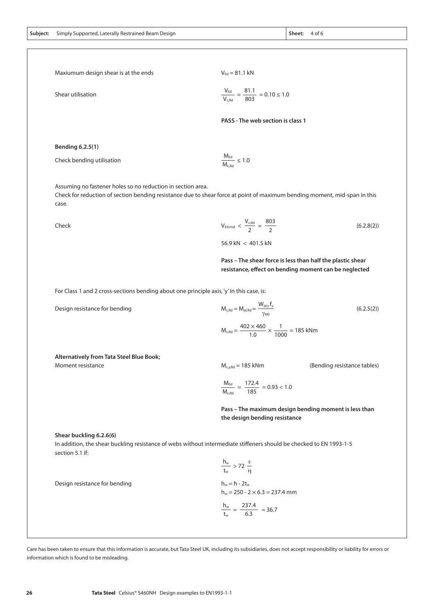Maxiumum design shear is at the ends

 $V_{\text{Ed}} = 81.1 \text{ kN}$ 

| Shear utilisation | $\frac{V_{\text{Ed}}}{V_{\text{Edd}}}= \frac{81.1}{5.0} = 0.10 \le 1.0$<br>$V_{c, Rd}$ 803 |
|-------------------|--------------------------------------------------------------------------------------------|
|-------------------|--------------------------------------------------------------------------------------------|

**PASS - The web section is class 1**

**Bending 6.2.5(1)**

Check bending utilisation

Assuming no fastener holes so no reduction in section area.

Check for reduction of section bending resistance due to shear force at point of maximum bending moment, mid-span in this case.

 $M_{Ed}$  $\frac{m_{\text{ca}}}{M_{\text{c,Rd}}} \leq 1.0$ 

Check

803 2  $V_{c,Rd}$  $V_{\text{Ed,mid}} < \frac{P_{\text{C,nd}}}{2}$  =  $(6.2.8(2))$ 56.9 kN < 401.5 kN

Wpl,y fy

 $M_{c,Rd} = \frac{100 \times 10^{-4} \text{ m/s}}{1.0} \times \frac{1}{1000} = 185 \text{ kNm}$ 

**Pass – The shear force is less than half the plastic shear resistance, effect on bending moment can be neglected**

For Class 1 and 2 cross-sections bending about one principle axis, 'y' in this case, is:

Design resistance for bending

 $M_{c,Rd} = M_{pl,Rd} = \frac{N_{pl, y}}{\gamma_{MR}}$  $402 \times 460$ 1

**Alternatively from [Tata Steel Blue Book;](http://www.tatasteelbluebook.com)**

Moment resistance

 $M_{c,v,Rd} = 185$  kNm

(Bending resistance tables)

 $(6.2.5(2))$ 

$$
\frac{M_{\text{Ed}}}{M_{\text{c,Rd}}} = \frac{172.4}{185} = 0.93 < 1.0
$$

1.0

**Pass – The maximum design bending moment is less than the design bending resistance** 

**Shear buckling 6.2.6(6)**

In addition, the shear buckling resistance of webs without intermediate stiffeners should be checked to EN 1993-1-5 section 5.1 if:

Design resistance for bending

$$
\frac{h_w}{t_w} > 72 \frac{\varepsilon}{\eta}
$$
  
 
$$
h_w = h - 2t_w
$$

 $227.4$ 

 $h_w = 250 - 2 \times 6.3 = 237.4$  mm

$$
\frac{h_w}{t_w} = \frac{237.4}{6.3} = 36.7
$$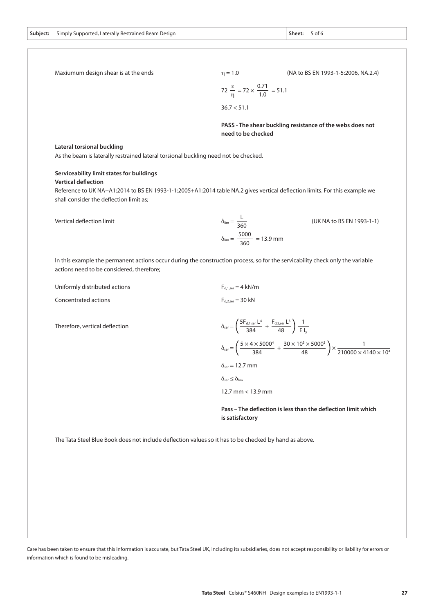| Maxiumum design shear is at the ends                                                                  | $\eta = 1.0$<br>(NA to BS EN 1993-1-5:2006, NA.2.4)                                                                                                                 |  |  |  |
|-------------------------------------------------------------------------------------------------------|---------------------------------------------------------------------------------------------------------------------------------------------------------------------|--|--|--|
|                                                                                                       | 72 $\frac{\varepsilon}{\eta}$ = 72 $\times \frac{0.71}{1.0}$ = 51.1                                                                                                 |  |  |  |
|                                                                                                       | 36.7 < 51.1                                                                                                                                                         |  |  |  |
|                                                                                                       | PASS - The shear buckling resistance of the webs does not<br>need to be checked                                                                                     |  |  |  |
| Lateral torsional buckling                                                                            |                                                                                                                                                                     |  |  |  |
| As the beam is laterally restrained lateral torsional buckling need not be checked.                   |                                                                                                                                                                     |  |  |  |
| Serviceability limit states for buildings                                                             |                                                                                                                                                                     |  |  |  |
| <b>Vertical deflection</b>                                                                            |                                                                                                                                                                     |  |  |  |
|                                                                                                       | Reference to UK NA+A1:2014 to BS EN 1993-1-1:2005+A1:2014 table NA.2 gives vertical deflection limits. For this example we                                          |  |  |  |
| shall consider the deflection limit as;                                                               |                                                                                                                                                                     |  |  |  |
| Vertical deflection limit                                                                             | $\delta_{\text{lim}} = \frac{L}{360}$<br>(UK NA to BS EN 1993-1-1)                                                                                                  |  |  |  |
|                                                                                                       | $\delta_{\text{lim}} = \frac{5000}{360} = 13.9$ mm                                                                                                                  |  |  |  |
| actions need to be considered, therefore;                                                             | In this example the permanent actions occur during the construction process, so for the servicability check only the variable                                       |  |  |  |
| Uniformly distributed actions                                                                         | $F_{d.1,\text{ser}} = 4 \text{ kN/m}$                                                                                                                               |  |  |  |
| Concentrated actions                                                                                  | $F_{d,2,\text{ser}} = 30 \text{ kN}$                                                                                                                                |  |  |  |
| Therefore, vertical deflection                                                                        | $\delta_{\text{ser}} = \left( \frac{5 F_{d,1,\text{ser}} L^4}{384} + \frac{F_{d,2,\text{ser}} L^3}{48} \right) \frac{1}{E _{v}}$                                    |  |  |  |
|                                                                                                       | $\delta_{\text{ser}} = \left(\frac{5 \times 4 \times 5000^4}{384} + \frac{30 \times 10^3 \times 5000^3}{48}\right) \times \frac{1}{210000 \times 4140 \times 10^4}$ |  |  |  |
|                                                                                                       | $\delta_{\text{ser}} = 12.7$ mm                                                                                                                                     |  |  |  |
|                                                                                                       | $\delta_{ser} \leq \delta_{lim}$                                                                                                                                    |  |  |  |
|                                                                                                       | 12.7 mm < 13.9 mm                                                                                                                                                   |  |  |  |
|                                                                                                       | Pass - The deflection is less than the deflection limit which<br>is satisfactory                                                                                    |  |  |  |
| The Tata Steel Blue Book does not include deflection values so it has to be checked by hand as above. |                                                                                                                                                                     |  |  |  |
|                                                                                                       |                                                                                                                                                                     |  |  |  |
|                                                                                                       |                                                                                                                                                                     |  |  |  |
|                                                                                                       |                                                                                                                                                                     |  |  |  |
|                                                                                                       |                                                                                                                                                                     |  |  |  |
|                                                                                                       |                                                                                                                                                                     |  |  |  |
|                                                                                                       |                                                                                                                                                                     |  |  |  |

Care has been taken to ensure that this information is accurate, but Tata Steel UK, including its subsidiaries, does not accept responsibility or liability for errors or information which is found to be misleading.

I.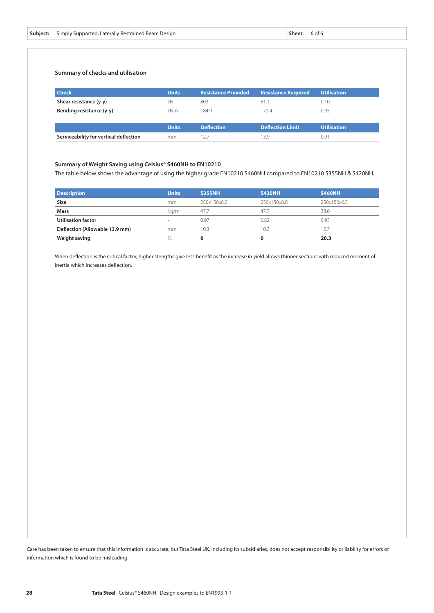|  | <b>Subject:</b> Simply Supported, Laterally Restrained Beam Design | Sheet: | 6 of 6 |
|--|--------------------------------------------------------------------|--------|--------|
|--|--------------------------------------------------------------------|--------|--------|

#### **Summary of checks and utilisation**

| <b>Check</b>                           | <b>Units</b> | <b>Resistance Provided</b> | <b>Resistance Required</b> | <b>Utilisation</b> |
|----------------------------------------|--------------|----------------------------|----------------------------|--------------------|
| Shear resistance (y-y)                 | kN           | 803                        | 81.1                       | 0.10               |
| Bending resistance (y-y)               | kNm          | 184.9                      | 1724                       | 0.93               |
|                                        |              |                            |                            |                    |
|                                        | <b>Units</b> | <b>Deflection</b>          | <b>Deflection Limit</b>    | Utilisation        |
| Serviceability for vertical deflection | mm           | 12.                        | 13.9                       | 0.91               |
|                                        |              |                            |                            |                    |

### **Summary of Weight Saving using Celsius® S460NH to EN10210**

The table below shows the advantage of using the higher grade EN10210 S460NH compared to EN10210 S355NH & S420NH.

| <b>Description</b>             | <b>Units</b> | <b>S355NH</b> | <b>S420NH</b> | <b>S460NH</b> |
|--------------------------------|--------------|---------------|---------------|---------------|
| Size                           | mm           | 250x150x8.0   | 250x150x8.0   | 250x150x6.3   |
| Mass                           | Ka/m         | 47.7          | 47.7          | 38.0          |
| <b>Utilisation factor</b>      | $\sim$       | 0.97          | 0.82          | 0.93          |
| Deflection (Allowable 13.9 mm) | mm           | 10.3          | 10.3          | 12.7          |
| Weight saving                  | $\%$         | 0             | Ω             | 20.3          |

When deflection is the critical factor, higher stengths give less benefit as the increase in yield allows thinner sections with reduced moment of inertia which increases deflection.